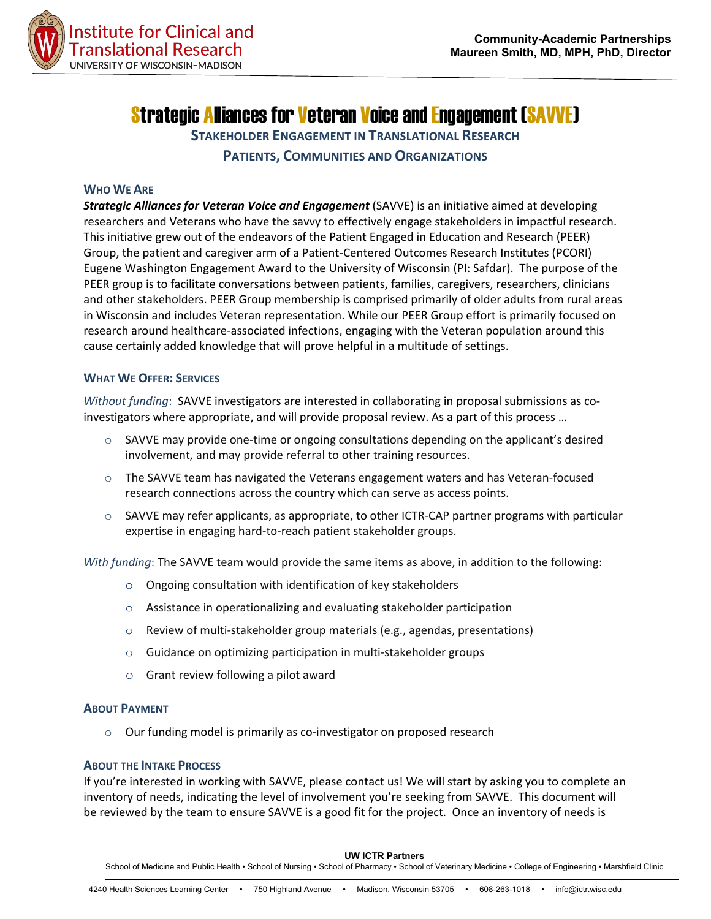

# Strategic Alliances for Veteran Voice and Engagement (SAVVE)

**STAKEHOLDER ENGAGEMENT IN TRANSLATIONAL RESEARCH PATIENTS, COMMUNITIES AND ORGANIZATIONS**

#### **WHO WE ARE**

*[Strategic Alliances for Veteran Voice and Engagement](http://www.patientpartnerships.org/)* (SAVVE) is an initiative aimed at developing researchers and Veterans who have the savvy to effectively engage stakeholders in impactful research. This initiative grew out of the endeavors of the Patient Engaged in Education and Research (PEER) Group, the patient and caregiver arm of a Patient-Centered Outcomes Research Institutes (PCORI) Eugene Washington Engagement Award to the University of Wisconsin (PI: Safdar). The purpose of the PEER group is to facilitate conversations between patients, families, caregivers, researchers, clinicians and other stakeholders. PEER Group membership is comprised primarily of older adults from rural areas in Wisconsin and includes Veteran representation. While our PEER Group effort is primarily focused on research around healthcare-associated infections, engaging with the Veteran population around this cause certainly added knowledge that will prove helpful in a multitude of settings.

#### **WHAT WE OFFER: SERVICES**

*Without funding*: SAVVE investigators are interested in collaborating in proposal submissions as coinvestigators where appropriate, and will provide proposal review. As a part of this process …

- $\circ$  SAVVE may provide one-time or ongoing consultations depending on the applicant's desired involvement, and may provide referral to other training resources.
- $\circ$  The SAVVE team has navigated the Veterans engagement waters and has Veteran-focused research connections across the country which can serve as access points.
- $\circ$  SAVVE may refer applicants, as appropriate, to other ICTR-CAP partner programs with particular expertise in engaging hard-to-reach patient stakeholder groups.

*With funding*: The SAVVE team would provide the same items as above, in addition to the following:

- o Ongoing consultation with identification of key stakeholders
- o Assistance in operationalizing and evaluating stakeholder participation
- o Review of multi-stakeholder group materials (e.g., agendas, presentations)
- o Guidance on optimizing participation in multi-stakeholder groups
- o Grant review following a pilot award

#### **ABOUT PAYMENT**

 $\circ$  Our funding model is primarily as co-investigator on proposed research

#### **ABOUT THE INTAKE PROCESS**

If you're interested in working with SAVVE, please contact us! We will start by asking you to complete an inventory of needs, indicating the level of involvement you're seeking from SAVVE. This document will be reviewed by the team to ensure SAVVE is a good fit for the project. Once an inventory of needs is

**UW ICTR Partners**

School of Medicine and Public Health • School of Nursing • School of Pharmacy • School of Veterinary Medicine • College of Engineering • Marshfield Clinic